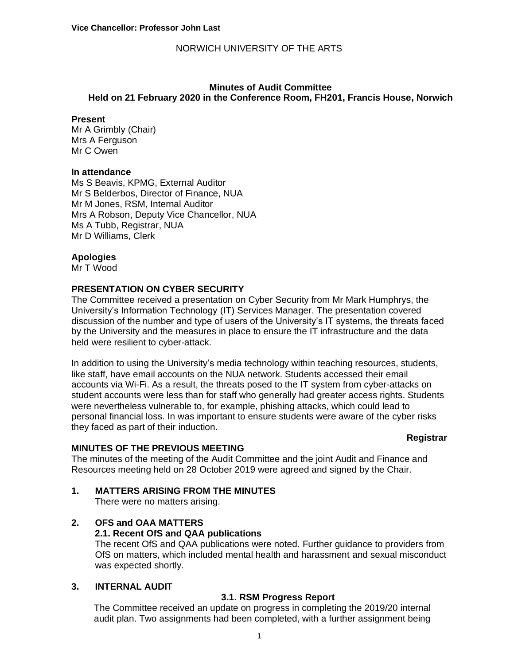### **Minutes of Audit Committee Held on 21 February 2020 in the Conference Room, FH201, Francis House, Norwich**

#### **Present**

Mr A Grimbly (Chair) Mrs A Ferguson Mr C Owen

### **In attendance**

Ms S Beavis, KPMG, External Auditor Mr S Belderbos, Director of Finance, NUA Mr M Jones, RSM, Internal Auditor Mrs A Robson, Deputy Vice Chancellor, NUA Ms A Tubb, Registrar, NUA Mr D Williams, Clerk

### **Apologies**

Mr T Wood

## **PRESENTATION ON CYBER SECURITY**

The Committee received a presentation on Cyber Security from Mr Mark Humphrys, the University's Information Technology (IT) Services Manager. The presentation covered discussion of the number and type of users of the University's IT systems, the threats faced by the University and the measures in place to ensure the IT infrastructure and the data held were resilient to cyber-attack.

In addition to using the University's media technology within teaching resources, students, like staff, have email accounts on the NUA network. Students accessed their email accounts via Wi-Fi. As a result, the threats posed to the IT system from cyber-attacks on student accounts were less than for staff who generally had greater access rights. Students were nevertheless vulnerable to, for example, phishing attacks, which could lead to personal financial loss. In was important to ensure students were aware of the cyber risks they faced as part of their induction.

#### **Registrar**

### **MINUTES OF THE PREVIOUS MEETING**

The minutes of the meeting of the Audit Committee and the joint Audit and Finance and Resources meeting held on 28 October 2019 were agreed and signed by the Chair.

## **1. MATTERS ARISING FROM THE MINUTES**

There were no matters arising.

### **2. OFS and OAA MATTERS**

### **2.1. Recent OfS and QAA publications**

The recent OfS and QAA publications were noted. Further guidance to providers from OfS on matters, which included mental health and harassment and sexual misconduct was expected shortly.

## **3. INTERNAL AUDIT**

### **3.1. RSM Progress Report**

The Committee received an update on progress in completing the 2019/20 internal audit plan. Two assignments had been completed, with a further assignment being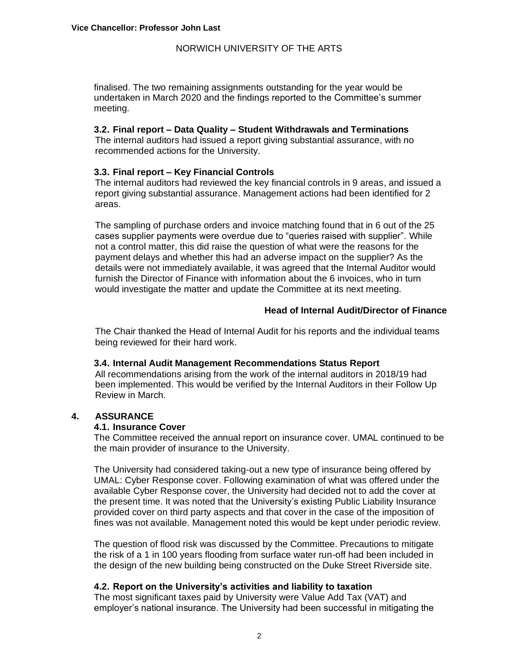finalised. The two remaining assignments outstanding for the year would be undertaken in March 2020 and the findings reported to the Committee's summer meeting.

### **3.2. Final report – Data Quality – Student Withdrawals and Terminations**

The internal auditors had issued a report giving substantial assurance, with no recommended actions for the University.

## **3.3. Final report – Key Financial Controls**

The internal auditors had reviewed the key financial controls in 9 areas, and issued a report giving substantial assurance. Management actions had been identified for 2 areas.

The sampling of purchase orders and invoice matching found that in 6 out of the 25 cases supplier payments were overdue due to "queries raised with supplier". While not a control matter, this did raise the question of what were the reasons for the payment delays and whether this had an adverse impact on the supplier? As the details were not immediately available, it was agreed that the Internal Auditor would furnish the Director of Finance with information about the 6 invoices, who in turn would investigate the matter and update the Committee at its next meeting.

## **Head of Internal Audit/Director of Finance**

The Chair thanked the Head of Internal Audit for his reports and the individual teams being reviewed for their hard work.

### **3.4. Internal Audit Management Recommendations Status Report**

All recommendations arising from the work of the internal auditors in 2018/19 had been implemented. This would be verified by the Internal Auditors in their Follow Up Review in March.

### **4. ASSURANCE**

### **4.1. Insurance Cover**

The Committee received the annual report on insurance cover. UMAL continued to be the main provider of insurance to the University.

The University had considered taking-out a new type of insurance being offered by UMAL: Cyber Response cover. Following examination of what was offered under the available Cyber Response cover, the University had decided not to add the cover at the present time. It was noted that the University's existing Public Liability Insurance provided cover on third party aspects and that cover in the case of the imposition of fines was not available. Management noted this would be kept under periodic review.

The question of flood risk was discussed by the Committee. Precautions to mitigate the risk of a 1 in 100 years flooding from surface water run-off had been included in the design of the new building being constructed on the Duke Street Riverside site.

## **4.2. Report on the University's activities and liability to taxation**

The most significant taxes paid by University were Value Add Tax (VAT) and employer's national insurance. The University had been successful in mitigating the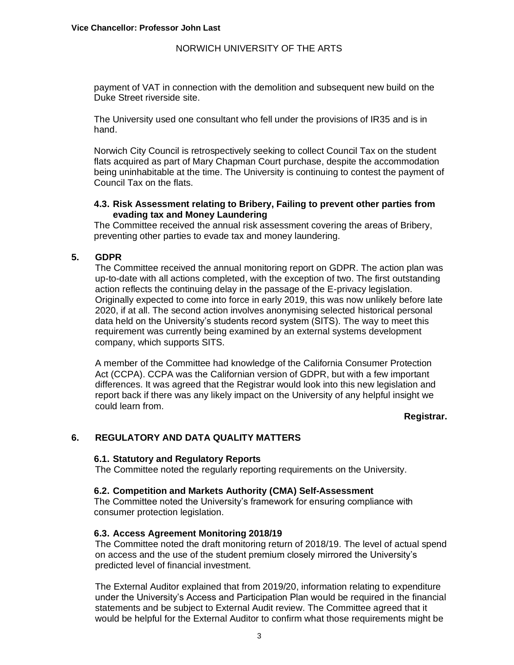payment of VAT in connection with the demolition and subsequent new build on the Duke Street riverside site.

The University used one consultant who fell under the provisions of IR35 and is in hand.

Norwich City Council is retrospectively seeking to collect Council Tax on the student flats acquired as part of Mary Chapman Court purchase, despite the accommodation being uninhabitable at the time. The University is continuing to contest the payment of Council Tax on the flats.

## **4.3. Risk Assessment relating to Bribery, Failing to prevent other parties from evading tax and Money Laundering**

The Committee received the annual risk assessment covering the areas of Bribery, preventing other parties to evade tax and money laundering.

## **5. GDPR**

The Committee received the annual monitoring report on GDPR. The action plan was up-to-date with all actions completed, with the exception of two. The first outstanding action reflects the continuing delay in the passage of the E-privacy legislation. Originally expected to come into force in early 2019, this was now unlikely before late 2020, if at all. The second action involves anonymising selected historical personal data held on the University's students record system (SITS). The way to meet this requirement was currently being examined by an external systems development company, which supports SITS.

A member of the Committee had knowledge of the California Consumer Protection Act (CCPA). CCPA was the Californian version of GDPR, but with a few important differences. It was agreed that the Registrar would look into this new legislation and report back if there was any likely impact on the University of any helpful insight we could learn from.

### **Registrar.**

### **6. REGULATORY AND DATA QUALITY MATTERS**

### **6.1. Statutory and Regulatory Reports**

The Committee noted the regularly reporting requirements on the University.

### **6.2. Competition and Markets Authority (CMA) Self-Assessment**

The Committee noted the University's framework for ensuring compliance with consumer protection legislation.

### **6.3. Access Agreement Monitoring 2018/19**

The Committee noted the draft monitoring return of 2018/19. The level of actual spend on access and the use of the student premium closely mirrored the University's predicted level of financial investment.

The External Auditor explained that from 2019/20, information relating to expenditure under the University's Access and Participation Plan would be required in the financial statements and be subject to External Audit review. The Committee agreed that it would be helpful for the External Auditor to confirm what those requirements might be